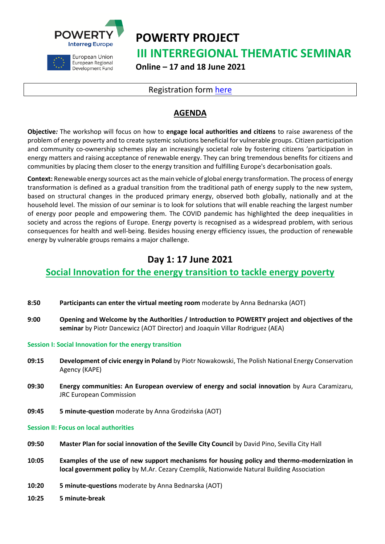



European Union European Regional Development Fund **POWERTY PROJECT III INTERREGIONAL THEMATIC SEMINAR Online – 17 and 18 June 2021**

### Registration form [here](https://zoom.us/meeting/register/tJIrc-iuqDMrEtVFSGiOcPcJcco6msV46FTC)

## **AGENDA**

**Objective***:* The workshop will focus on how to **engage local authorities and citizens** to raise awareness of the problem of energy poverty and to create systemic solutions beneficial for vulnerable groups. Citizen participation and community co-ownership schemes play an increasingly societal role by fostering citizens 'participation in energy matters and raising acceptance of renewable energy. They can bring tremendous benefits for citizens and communities by placing them closer to the energy transition and fulfilling Europe's decarbonisation goals.

**Context:** Renewable energy sources act as the main vehicle of global energy transformation. The process of energy transformation is defined as a gradual transition from the traditional path of energy supply to the new system, based on structural changes in the produced primary energy, observed both globally, nationally and at the household level. The mission of our seminar is to look for solutions that will enable reaching the largest number of energy poor people and empowering them. The COVID pandemic has highlighted the deep inequalities in society and across the regions of Europe. Energy poverty is recognised as a widespread problem, with serious consequences for health and well-being. Besides housing energy efficiency issues, the production of renewable energy by vulnerable groups remains a major challenge.

# **Day 1: 17 June 2021**

### **Social Innovation for the energy transition to tackle energy poverty**

- **8:50 Participants can enter the virtual meeting room** moderate by Anna Bednarska (AOT)
- **9:00 Opening and Welcome by the Authorities / Introduction to POWERTY project and objectives of the seminar** by Piotr Dancewicz (AOT Director) and Joaquín Villar Rodriguez (AEA)

**Session I: Social Innovation for the energy transition**

- **09:15 Development of civic energy in Poland** by Piotr Nowakowski, The Polish National Energy Conservation Agency (KAPE)
- **09:30 Energy communities: An European overview of energy and social innovation** by Aura Caramizaru, JRC European Commission
- **09:45 5 minute-question** moderate by Anna Grodzińska (AOT)

#### **Session II: Focus on local authorities**

- **09:50 Master Plan for social innovation of the Seville City Council** by David Pino, Sevilla City Hall
- **10:05 Examples of the use of new support mechanisms for housing policy and thermo-modernization in local government policy** by M.Ar. Cezary Czemplik, Nationwide Natural Building Association
- **10:20 5 minute-questions** moderate by Anna Bednarska (AOT)
- **10:25 5 minute-break**